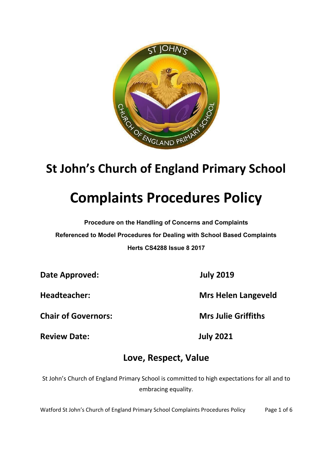

## **St John's Church of England Primary School**

# **Complaints Procedures Policy**

**Procedure on the Handling of Concerns and Complaints Referenced to Model Procedures for Dealing with School Based Complaints Herts CS4288 Issue 8 2017**

**Date Approved: July 2019**

**Chair of Governors: Mrs Julie Griffiths**

**Review Date: July 2021**

**Headteacher: Mrs Helen Langeveld**

## **Love, Respect, Value**

St John's Church of England Primary School is committed to high expectations for all and to embracing equality.

Watford St John's Church of England Primary School Complaints Procedures Policy Page 1 of 6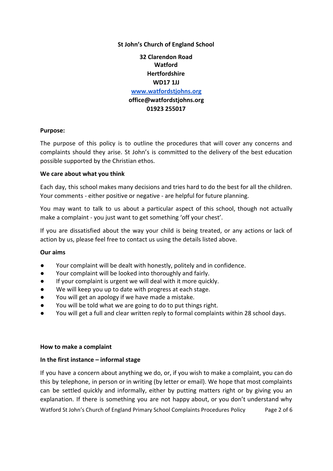#### **St John's Church of England School**

### **32 Clarendon Road Watford Hertfordshire WD17 1JJ [www.](http://www.stjohnswatford.co.uk/)watfordstjohns.org office@watfordstjohns.org 01923 255017**

#### **Purpose:**

The purpose of this policy is to outline the procedures that will cover any concerns and complaints should they arise. St John's is committed to the delivery of the best education possible supported by the Christian ethos.

#### **We care about what you think**

Each day, this school makes many decisions and tries hard to do the best for all the children. Your comments - either positive or negative - are helpful for future planning.

You may want to talk to us about a particular aspect of this school, though not actually make a complaint - you just want to get something 'off your chest'.

If you are dissatisfied about the way your child is being treated, or any actions or lack of action by us, please feel free to contact us using the details listed above.

#### **Our aims**

- Your complaint will be dealt with honestly, politely and in confidence.
- Your complaint will be looked into thoroughly and fairly.
- If your complaint is urgent we will deal with it more quickly.
- We will keep you up to date with progress at each stage.
- You will get an apology if we have made a mistake.
- You will be told what we are going to do to put things right.
- You will get a full and clear written reply to formal complaints within 28 school days.

#### **How to make a complaint**

#### **In the first instance – informal stage**

If you have a concern about anything we do, or, if you wish to make a complaint, you can do this by telephone, in person or in writing (by letter or email). We hope that most complaints can be settled quickly and informally, either by putting matters right or by giving you an explanation. If there is something you are not happy about, or you don't understand why Watford St John's Church of England Primary School Complaints Procedures Policy Page 2 of 6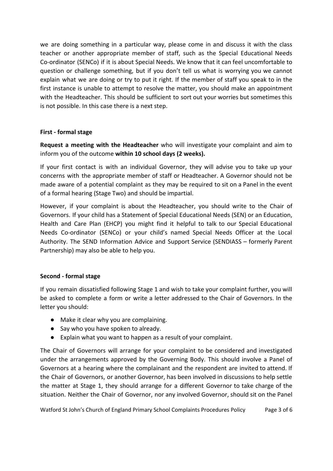we are doing something in a particular way, please come in and discuss it with the class teacher or another appropriate member of staff, such as the Special Educational Needs Co-ordinator (SENCo) if it is about Special Needs. We know that it can feel uncomfortable to question or challenge something, but if you don't tell us what is worrying you we cannot explain what we are doing or try to put it right. If the member of staff you speak to in the first instance is unable to attempt to resolve the matter, you should make an appointment with the Headteacher. This should be sufficient to sort out your worries but sometimes this is not possible. In this case there is a next step.

#### **First - formal stage**

**Request a meeting with the Headteacher** who will investigate your complaint and aim to inform you of the outcome **within 10 school days (2 weeks).**

If your first contact is with an individual Governor, they will advise you to take up your concerns with the appropriate member of staff or Headteacher. A Governor should not be made aware of a potential complaint as they may be required to sit on a Panel in the event of a formal hearing (Stage Two) and should be impartial.

However, if your complaint is about the Headteacher, you should write to the Chair of Governors. If your child has a Statement of Special Educational Needs (SEN) or an Education, Health and Care Plan (EHCP) you might find it helpful to talk to our Special Educational Needs Co-ordinator (SENCo) or your child's named Special Needs Officer at the Local Authority. The SEND Information Advice and Support Service (SENDIASS – formerly Parent Partnership) may also be able to help you.

#### **Second - formal stage**

If you remain dissatisfied following Stage 1 and wish to take your complaint further, you will be asked to complete a form or write a letter addressed to the Chair of Governors. In the letter you should:

- Make it clear why you are complaining.
- Say who you have spoken to already.
- Explain what you want to happen as a result of your complaint.

The Chair of Governors will arrange for your complaint to be considered and investigated under the arrangements approved by the Governing Body. This should involve a Panel of Governors at a hearing where the complainant and the respondent are invited to attend. If the Chair of Governors, or another Governor, has been involved in discussions to help settle the matter at Stage 1, they should arrange for a different Governor to take charge of the situation. Neither the Chair of Governor, nor any involved Governor, should sit on the Panel

Watford St John's Church of England Primary School Complaints Procedures Policy Page 3 of 6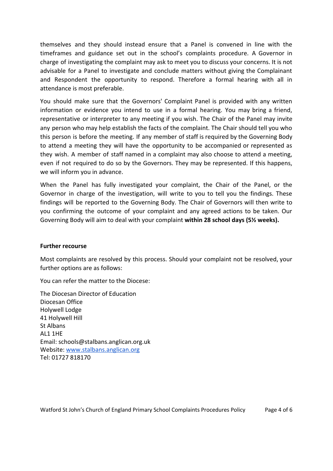themselves and they should instead ensure that a Panel is convened in line with the timeframes and guidance set out in the school's complaints procedure. A Governor in charge of investigating the complaint may ask to meet you to discuss your concerns. It is not advisable for a Panel to investigate and conclude matters without giving the Complainant and Respondent the opportunity to respond. Therefore a formal hearing with all in attendance is most preferable.

You should make sure that the Governors' Complaint Panel is provided with any written information or evidence you intend to use in a formal hearing. You may bring a friend, representative or interpreter to any meeting if you wish. The Chair of the Panel may invite any person who may help establish the facts of the complaint. The Chair should tell you who this person is before the meeting. If any member of staff is required by the Governing Body to attend a meeting they will have the opportunity to be accompanied or represented as they wish. A member of staff named in a complaint may also choose to attend a meeting, even if not required to do so by the Governors. They may be represented. If this happens, we will inform you in advance.

When the Panel has fully investigated your complaint, the Chair of the Panel, or the Governor in charge of the investigation, will write to you to tell you the findings. These findings will be reported to the Governing Body. The Chair of Governors will then write to you confirming the outcome of your complaint and any agreed actions to be taken. Our Governing Body will aim to deal with your complaint **within 28 school days (5½ weeks).**

#### **Further recourse**

Most complaints are resolved by this process. Should your complaint not be resolved, your further options are as follows:

You can refer the matter to the Diocese:

The Diocesan Director of Education Diocesan Office Holywell Lodge 41 Holywell Hill St Albans AL1 1HE Email: schools@stalbans.anglican.org.uk Website: [www.stalbans.anglican.org](http://www.stalbans.anglican.org/) Tel: 01727 818170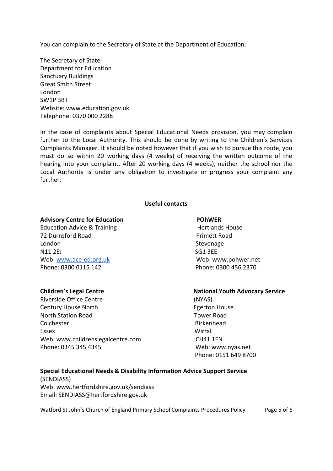You can complain to the Secretary of State at the Department of Education:

[The Secretary of State](mailto:academyquestions@efa.education.gov.uk) [Department for Education](mailto:academyquestions@efa.education.gov.uk) [Sanctuary Buildings](mailto:academyquestions@efa.education.gov.uk) [Great Smith Street](mailto:academyquestions@efa.education.gov.uk) [London](mailto:academyquestions@efa.education.gov.uk) [SW1P 3BT](mailto:academyquestions@efa.education.gov.uk) [Website: www.education.gov.uk](mailto:academyquestions@efa.education.gov.uk) [Telephone: 0370 000 2288](mailto:academyquestions@efa.education.gov.uk)

In the case of complaints about Special Educational Needs provision, you may complain further to the Local Authority. This should be done by writing to the Children's Services Complaints Manager. It should be noted however that if you wish to pursue this route, you must do so within 20 working days (4 weeks) of receiving the written outcome of the hearing into your complaint. After 20 working days (4 weeks), neither the school nor the Local Authority is under any obligation to investigate or progress your complaint any further.

#### **Useful contacts**

#### **Advisory Centre for Education Change Control Control POhWER**

Education Advice & Training Hertlands House 72 Durnsford Road Primett Road London Stevenage N11 2EJ SG1 3EE Web: [www.ace-ed.org.uk](http://www.ace-ed.org.uk/) Web: www.pohwer.net Phone: 0300 0115 142 Phone: 0300 456 2370

Riverside Office Centre (NYAS) Century House North **Egerton House** North Station Road Tower Road Colchester **Birkenhead** Essex Wirral Web: www.childrenslegalcentre.com CH41 1FN Phone: 0345 345 4345 Web: www.nyas.net

#### **Children's Legal Centre National Youth Advocacy Service**

Phone: 0151 649 8700

#### **Special Educational Needs & Disability Information Advice Support Service** (SENDIASS) Web: www.hertfordshire.gov.uk/sendiass

Email: SENDIASS@hertfordshire.gov.uk

Watford St John's Church of England Primary School Complaints Procedures Policy Page 5 of 6